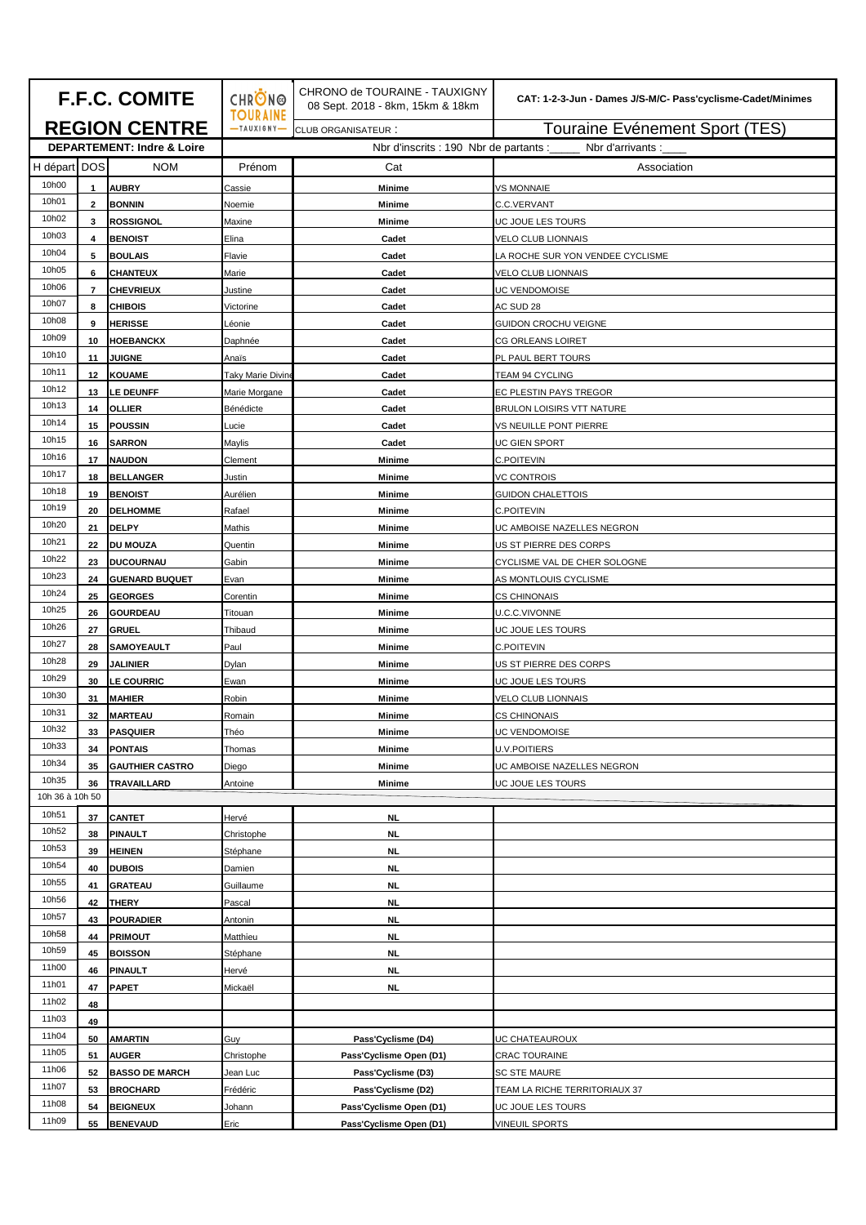| <b>F.F.C. COMITE</b>                  |                 |                                           | <b>CHRON®</b><br><b>TOURAINE</b>                            | CHRONO de TOURAINE - TAUXIGNY<br>08 Sept. 2018 - 8km, 15km & 18km | CAT: 1-2-3-Jun - Dames J/S-M/C- Pass'cyclisme-Cadet/Minimes |
|---------------------------------------|-----------------|-------------------------------------------|-------------------------------------------------------------|-------------------------------------------------------------------|-------------------------------------------------------------|
| <b>REGION CENTRE</b>                  |                 |                                           | $-TAUXIGNY$                                                 | <b>CLUB ORGANISATEUR:</b>                                         | Touraine Evénement Sport (TES)                              |
| <b>DEPARTEMENT: Indre &amp; Loire</b> |                 |                                           | Nbr d'inscrits : 190 Nbr de partants :<br>Nbr d'arrivants : |                                                                   |                                                             |
| H départ DOS                          |                 | <b>NOM</b>                                | Prénom                                                      | Cat                                                               | Association                                                 |
| 10h00                                 | $\mathbf{1}$    | <b>AUBRY</b>                              | Cassie                                                      | <b>Minime</b>                                                     | <b>VS MONNAIE</b>                                           |
| 10h01                                 | $\mathbf{2}$    | <b>BONNIN</b>                             | Noemie                                                      | Minime                                                            | C.C.VERVANT                                                 |
| 10h02                                 | 3               | <b>ROSSIGNOL</b>                          | Maxine                                                      | Minime                                                            | UC JOUE LES TOURS                                           |
| 10h03                                 | 4               | <b>BENOIST</b>                            | Elina                                                       | Cadet                                                             | <b>VELO CLUB LIONNAIS</b>                                   |
| 10h04                                 | 5               | <b>BOULAIS</b>                            | Flavie                                                      | Cadet                                                             | LA ROCHE SUR YON VENDEE CYCLISME                            |
| 10h05                                 | 6               | <b>CHANTEUX</b>                           | Marie                                                       | Cadet                                                             | <b>VELO CLUB LIONNAIS</b>                                   |
| 10h06                                 | $\overline{7}$  | <b>CHEVRIEUX</b>                          | Justine                                                     | Cadet                                                             | JC VENDOMOISE                                               |
| 10h07                                 | 8               | <b>CHIBOIS</b>                            | Victorine                                                   | Cadet                                                             | AC SUD 28                                                   |
| 10h08                                 | 9               | <b>HERISSE</b>                            | éonie                                                       | Cadet                                                             | GUIDON CROCHU VEIGNE                                        |
| 10h09                                 | 10              | <b>HOEBANCKX</b>                          | Daphnée                                                     | Cadet                                                             | <b>CG ORLEANS LOIRET</b>                                    |
| 10h10                                 | 11              | <b>JUIGNE</b>                             | Anaïs                                                       | Cadet                                                             | PL PAUL BERT TOURS                                          |
| 10h11                                 | 12 <sub>2</sub> | KOUAME                                    | Taky Marie Divin                                            | Cadet                                                             | TEAM 94 CYCLING                                             |
| 10h12                                 | 13              | <b>LE DEUNFF</b>                          | Marie Morgane                                               | Cadet                                                             | EC PLESTIN PAYS TREGOR                                      |
| 10h13                                 | 14              | <b>OLLIER</b>                             | Bénédicte                                                   | Cadet                                                             | BRULON LOISIRS VTT NATURE                                   |
| 10h14<br>10h15                        | 15              | <b>POUSSIN</b>                            | Lucie                                                       | Cadet                                                             | VS NEUILLE PONT PIERRE                                      |
| 10h16                                 | 16              | <b>SARRON</b>                             | Maylis                                                      | Cadet                                                             | JC GIEN SPORT                                               |
| 10h17                                 | 17              | <b>NAUDON</b>                             | Clement                                                     | <b>Minime</b>                                                     | C.POITEVIN                                                  |
| 10h18                                 | 18              | <b>BELLANGER</b>                          | Justin                                                      | <b>Minime</b>                                                     | VC CONTROIS                                                 |
| 10h19                                 | 19              | <b>BENOIST</b>                            | Aurélien                                                    | <b>Minime</b>                                                     | GUIDON CHALETTOIS                                           |
| 10h20                                 | 20              | <b>DELHOMME</b>                           | Rafael                                                      | Minime                                                            | C.POITEVIN                                                  |
| 10h21                                 | 21              | <b>DELPY</b>                              | Mathis                                                      | Minime                                                            | UC AMBOISE NAZELLES NEGRON                                  |
| 10h22                                 | 22              | DU MOUZA                                  | Quentin                                                     | Minime                                                            | US ST PIERRE DES CORPS                                      |
| 10h23                                 | 23<br>24        | <b>DUCOURNAU</b><br><b>GUENARD BUQUET</b> | Gabin                                                       | Minime                                                            | CYCLISME VAL DE CHER SOLOGNE                                |
| 10h24                                 | 25              | <b>GEORGES</b>                            | Evan                                                        | <b>Minime</b>                                                     | AS MONTLOUIS CYCLISME                                       |
| 10h25                                 | 26              | <b>GOURDEAU</b>                           | Corentin<br>Titouan                                         | Minime<br>Minime                                                  | CS CHINONAIS<br>U.C.C.VIVONNE                               |
| 10h26                                 | 27              | <b>GRUEL</b>                              | Thibaud                                                     | <b>Minime</b>                                                     | JC JOUE LES TOURS                                           |
| 10h27                                 | 28              | <b>SAMOYEAULT</b>                         | Paul                                                        | Minime                                                            | <b>C.POITEVIN</b>                                           |
| 10h28                                 | 29              | <b>JALINIER</b>                           | Dylan                                                       | <b>Minime</b>                                                     | US ST PIERRE DES CORPS                                      |
| 10h29                                 | 30              | <b>LE COURRIC</b>                         | Ewan                                                        | <b>Minime</b>                                                     | UC JOUE LES TOURS                                           |
| 10h30                                 | 31              | <b>MAHIER</b>                             | Robin                                                       | <b>Minime</b>                                                     | <b>VELO CLUB LIONNAIS</b>                                   |
| 10h31                                 | 32              | <b>MARTEAU</b>                            | Romain                                                      | <b>Minime</b>                                                     | <b>CS CHINONAIS</b>                                         |
| 10h32                                 | 33              | <b>PASQUIER</b>                           | Théo                                                        | Minime                                                            | <b>UC VENDOMOISE</b>                                        |
| 10h33                                 | 34              | <b>PONTAIS</b>                            | Thomas                                                      | Minime                                                            | <b>U.V.POITIERS</b>                                         |
| 10h34                                 | 35              | <b>GAUTHIER CASTRO</b>                    | Diego                                                       | Minime                                                            | UC AMBOISE NAZELLES NEGRON                                  |
| 10h35                                 | 36              | TRAVAILLARD                               | Antoine                                                     | Minime                                                            | UC JOUE LES TOURS                                           |
| 10h 36 à 10h 50                       |                 |                                           |                                                             |                                                                   |                                                             |
| 10h51                                 | 37              | <b>CANTET</b>                             | Hervé                                                       | <b>NL</b>                                                         |                                                             |
| 10h52                                 | 38              | <b>PINAULT</b>                            | Christophe                                                  | <b>NL</b>                                                         |                                                             |
| 10h53                                 | 39              | <b>HEINEN</b>                             | Stéphane                                                    | <b>NL</b>                                                         |                                                             |
| 10h54                                 | 40              | <b>DUBOIS</b>                             | Damien                                                      | NL                                                                |                                                             |
| 10h55                                 | 41              | <b>GRATEAU</b>                            | Guillaume                                                   | <b>NL</b>                                                         |                                                             |
| 10h56                                 | 42              | <b>THERY</b>                              | Pascal                                                      | <b>NL</b>                                                         |                                                             |
| 10h57                                 | 43              | <b>POURADIER</b>                          | Antonin                                                     | <b>NL</b>                                                         |                                                             |
| 10h58                                 | 44              | <b>PRIMOUT</b>                            | Matthieu                                                    | <b>NL</b>                                                         |                                                             |
| 10h59                                 | 45              | <b>BOISSON</b>                            | Stéphane                                                    | NL                                                                |                                                             |
| 11h00                                 | 46              | <b>PINAULT</b>                            | Hervé                                                       | <b>NL</b>                                                         |                                                             |
| 11h01                                 | 47              | <b>PAPET</b>                              | Mickaël                                                     | <b>NL</b>                                                         |                                                             |
| 11h02                                 | 48              |                                           |                                                             |                                                                   |                                                             |
| 11h03                                 | 49              |                                           |                                                             |                                                                   |                                                             |
| 11h04                                 | 50              | <b>AMARTIN</b>                            | Guy                                                         | Pass'Cyclisme (D4)                                                | UC CHATEAUROUX                                              |
| 11h05                                 | 51              | <b>AUGER</b>                              | Christophe                                                  | Pass'Cyclisme Open (D1)                                           | CRAC TOURAINE                                               |
| 11h06                                 | 52              | <b>BASSO DE MARCH</b>                     | Jean Luc                                                    | Pass'Cyclisme (D3)                                                | <b>SC STE MAURE</b>                                         |
| 11h07                                 | 53              | <b>BROCHARD</b>                           | Frédéric                                                    | Pass'Cyclisme (D2)                                                | TEAM LA RICHE TERRITORIAUX 37                               |
| 11h08                                 | 54              | <b>BEIGNEUX</b>                           | Johann                                                      | Pass'Cyclisme Open (D1)                                           | UC JOUE LES TOURS                                           |
| 11h09                                 | 55              | <b>BENEVAUD</b>                           | Eric                                                        | Pass'Cyclisme Open (D1)                                           | <b>VINEUIL SPORTS</b>                                       |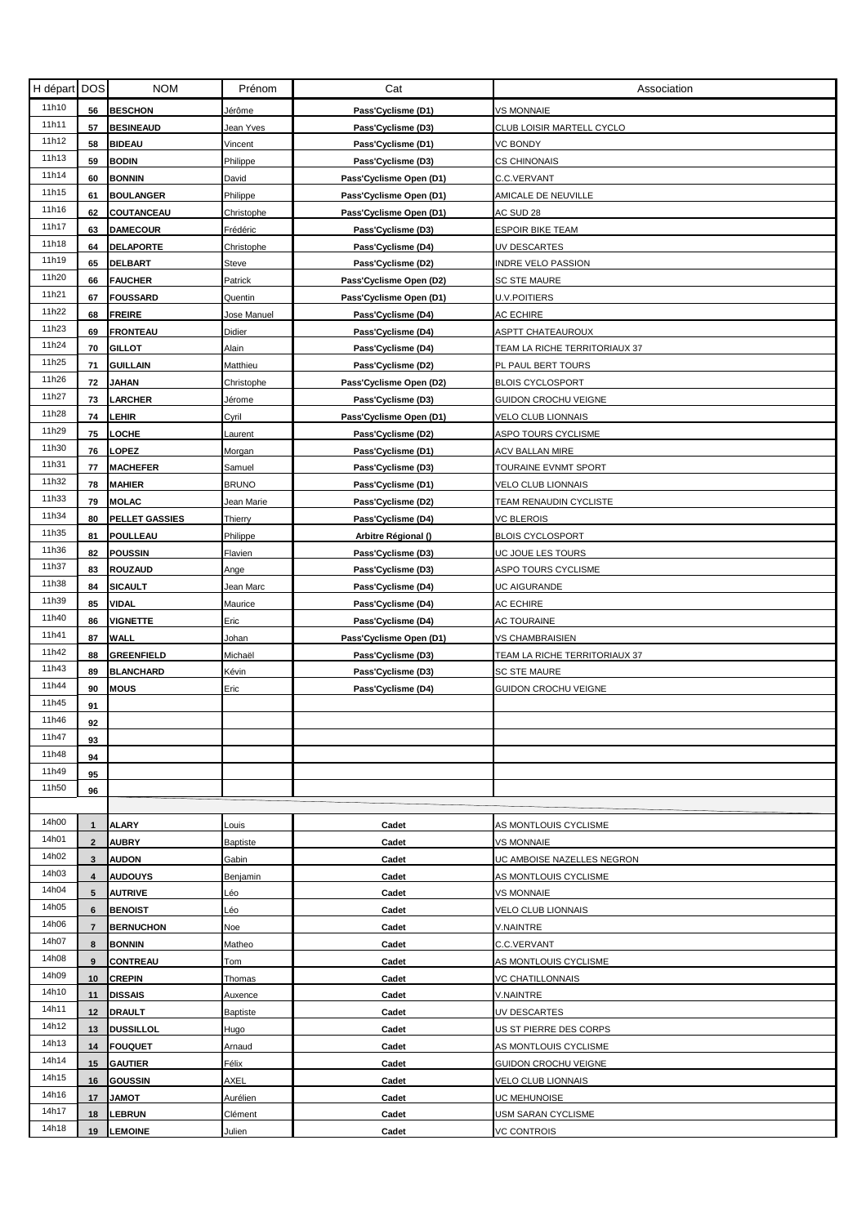| H départ | <b>DOS</b>     | <b>NOM</b>        | Prénom       | Cat                     | Association                   |
|----------|----------------|-------------------|--------------|-------------------------|-------------------------------|
| 11h10    | 56             | <b>BESCHON</b>    | Jérôme       | Pass'Cyclisme (D1)      | VS MONNAIE                    |
| 11h11    | 57             | <b>BESINEAUD</b>  | Jean Yves    | Pass'Cyclisme (D3)      | CLUB LOISIR MARTELL CYCLO     |
| 11h12    | 58             | BIDEAU            | Vincent      | Pass'Cyclisme (D1)      | VC BONDY                      |
| 11h13    | 59             | <b>BODIN</b>      | Philippe     | Pass'Cyclisme (D3)      | CS CHINONAIS                  |
| 11h14    | 60             | <b>BONNIN</b>     | David        | Pass'Cyclisme Open (D1) | C.C.VERVANT                   |
| 11h15    | 61             | <b>BOULANGER</b>  | Philippe     | Pass'Cyclisme Open (D1) | AMICALE DE NEUVILLE           |
| 11h16    | 62             | COUTANCEAU        |              |                         |                               |
| 11h17    |                | <b>DAMECOUR</b>   | Christophe   | Pass'Cyclisme Open (D1) | AC SUD 28                     |
| 11h18    | 63             |                   | Frédéric     | Pass'Cyclisme (D3)      | ESPOIR BIKE TEAM              |
| 11h19    | 64             | <b>DELAPORTE</b>  | Christophe   | Pass'Cyclisme (D4)      | UV DESCARTES                  |
| 11h20    | 65             | <b>DELBART</b>    | Steve        | Pass'Cyclisme (D2)      | INDRE VELO PASSION            |
| 11h21    | 66             | <b>FAUCHER</b>    | Patrick      | Pass'Cyclisme Open (D2) | <b>SC STE MAURE</b>           |
| 11h22    | 67             | <b>FOUSSARD</b>   | Quentin      | Pass'Cyclisme Open (D1) | U.V.POITIERS                  |
| 11h23    | 68             | <b>FREIRE</b>     | Jose Manuel  | Pass'Cyclisme (D4)      | AC ECHIRE                     |
| 11h24    | 69             | <b>FRONTEAU</b>   | Didier       | Pass'Cyclisme (D4)      | ASPTT CHATEAUROUX             |
| 11h25    | 70             | <b>GILLOT</b>     | Alain        | Pass'Cyclisme (D4)      | TEAM LA RICHE TERRITORIAUX 37 |
|          | 71             | <b>GUILLAIN</b>   | Matthieu     | Pass'Cyclisme (D2)      | PL PAUL BERT TOURS            |
| 11h26    | 72             | <b>JAHAN</b>      | Christophe   | Pass'Cyclisme Open (D2) | <b>BLOIS CYCLOSPORT</b>       |
| 11h27    | 73             | <b>LARCHER</b>    | Jérome       | Pass'Cyclisme (D3)      | GUIDON CROCHU VEIGNE          |
| 11h28    | 74             | LEHIR             | Cyril        | Pass'Cyclisme Open (D1) | VELO CLUB LIONNAIS            |
| 11h29    | 75             | LOCHE             | Laurent      | Pass'Cyclisme (D2)      | <b>ASPO TOURS CYCLISME</b>    |
| 11h30    | 76             | LOPEZ             | Morgan       | Pass'Cyclisme (D1)      | ACV BALLAN MIRE               |
| 11h31    | 77             | <b>MACHEFER</b>   | Samuel       | Pass'Cyclisme (D3)      | TOURAINE EVNMT SPORT          |
| 11h32    | 78             | <b>MAHIER</b>     | <b>BRUNO</b> | Pass'Cyclisme (D1)      | VELO CLUB LIONNAIS            |
| 11h33    | 79             | <b>MOLAC</b>      | Jean Marie   | Pass'Cyclisme (D2)      | TEAM RENAUDIN CYCLISTE        |
| 11h34    | 80             | PELLET GASSIES    | Thierry      | Pass'Cyclisme (D4)      | VC BLEROIS                    |
| 11h35    | 81             | POULLEAU          | Philippe     | Arbitre Régional ()     | <b>BLOIS CYCLOSPORT</b>       |
| 11h36    | 82             | <b>POUSSIN</b>    | Flavien      | Pass'Cyclisme (D3)      | UC JOUE LES TOURS             |
| 11h37    | 83             | <b>ROUZAUD</b>    | Ange         | Pass'Cyclisme (D3)      | ASPO TOURS CYCLISME           |
| 11h38    | 84             | SICAULT           | Jean Marc    | Pass'Cyclisme (D4)      | UC AIGURANDE                  |
| 11h39    | 85             | VIDAL             | Maurice      | Pass'Cyclisme (D4)      | AC ECHIRE                     |
| 11h40    | 86             | VIGNETTE          | Eric         | Pass'Cyclisme (D4)      | AC TOURAINE                   |
| 11h41    | 87             | WALL              | Johan        | Pass'Cyclisme Open (D1) | VS CHAMBRAISIEN               |
| 11h42    | 88             | <b>GREENFIELD</b> | Michaël      | Pass'Cyclisme (D3)      | TEAM LA RICHE TERRITORIAUX 37 |
| 11h43    | 89             | <b>BLANCHARD</b>  | Kévin        | Pass'Cyclisme (D3)      | <b>SC STE MAURE</b>           |
| 11h44    | 90             | <b>MOUS</b>       | Eric         | Pass'Cyclisme (D4)      | GUIDON CROCHU VEIGNE          |
| 11h45    | 91             |                   |              |                         |                               |
| 11h46    | 92             |                   |              |                         |                               |
| 11h47    | 93             |                   |              |                         |                               |
| 11h48    | 94             |                   |              |                         |                               |
| 11h49    | 95             |                   |              |                         |                               |
| 11h50    | 96             |                   |              |                         |                               |
|          |                |                   |              |                         |                               |
| 14h00    | $\mathbf{1}$   | ALARY             | Louis        | Cadet                   | AS MONTLOUIS CYCLISME         |
| 14h01    | $\mathbf{2}$   | <b>AUBRY</b>      | Baptiste     | Cadet                   | VS MONNAIE                    |
| 14h02    | 3              | <b>AUDON</b>      | Gabin        | Cadet                   | UC AMBOISE NAZELLES NEGRON    |
| 14h03    | 4              | <b>AUDOUYS</b>    | Benjamin     | Cadet                   | AS MONTLOUIS CYCLISME         |
| 14h04    | 5              | <b>AUTRIVE</b>    | Léo          | Cadet                   | VS MONNAIE                    |
| 14h05    | 6              | <b>BENOIST</b>    | Léo          | Cadet                   | VELO CLUB LIONNAIS            |
| 14h06    | $\overline{7}$ | <b>BERNUCHON</b>  | Noe          | Cadet                   | V.NAINTRE                     |
| 14h07    | 8              | <b>BONNIN</b>     | Matheo       | Cadet                   | C.C.VERVANT                   |
| 14h08    | 9              | CONTREAU          | Tom          | Cadet                   | AS MONTLOUIS CYCLISME         |
| 14h09    | 10             | <b>CREPIN</b>     | Thomas       | Cadet                   | VC CHATILLONNAIS              |
| 14h10    | 11             |                   |              | Cadet                   |                               |
| 14h11    |                | <b>DISSAIS</b>    | Auxence      |                         | V.NAINTRE                     |
| 14h12    | 12             | <b>DRAULT</b>     | Baptiste     | Cadet                   | UV DESCARTES                  |
| 14h13    | 13             | <b>DUSSILLOL</b>  | Hugo         | Cadet                   | US ST PIERRE DES CORPS        |
| 14h14    | 14             | <b>FOUQUET</b>    | Arnaud       | Cadet                   | AS MONTLOUIS CYCLISME         |
| 14h15    | 15             | <b>GAUTIER</b>    | Félix        | Cadet                   | GUIDON CROCHU VEIGNE          |
|          | 16             | <b>GOUSSIN</b>    | AXEL         | Cadet                   | VELO CLUB LIONNAIS            |
| 14h16    | 17             | <b>TOMAL</b>      | Aurélien     | Cadet                   | UC MEHUNOISE                  |
| 14h17    | 18             | <b>LEBRUN</b>     | Clément      | Cadet                   | USM SARAN CYCLISME            |
| 14h18    | 19             | <b>LEMOINE</b>    | Julien       | Cadet                   | VC CONTROIS                   |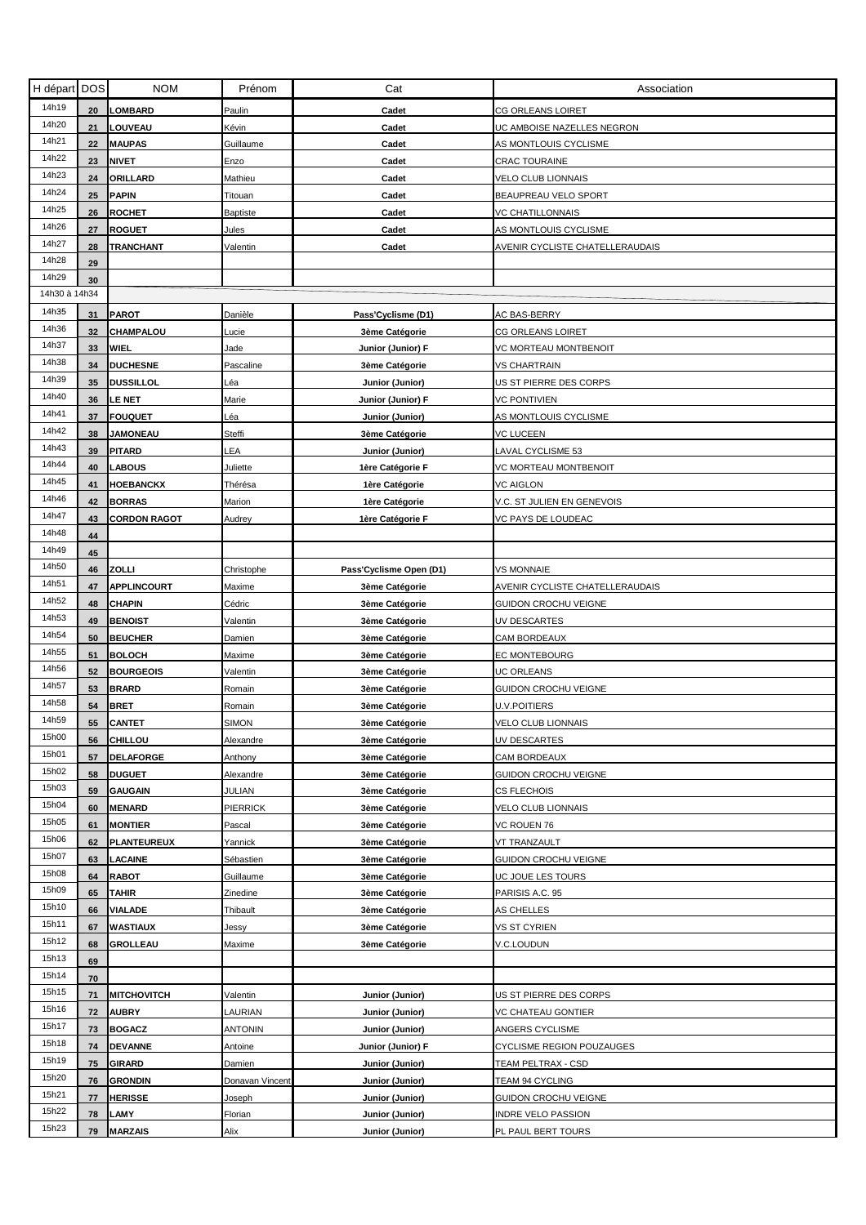| H départ      | <b>DOS</b> | <b>NOM</b>          | Prénom          | Cat                     | Association                     |
|---------------|------------|---------------------|-----------------|-------------------------|---------------------------------|
| 14h19         | 20         | <b>LOMBARD</b>      | Paulin          | Cadet                   | <b>CG ORLEANS LOIRET</b>        |
| 14h20         | 21         | LOUVEAU             | Kévin           | Cadet                   | UC AMBOISE NAZELLES NEGRON      |
| 14h21         | 22         | <b>MAUPAS</b>       | Guillaume       | Cadet                   | AS MONTLOUIS CYCLISME           |
| 14h22         | 23         | <b>NIVET</b>        | Enzo            | Cadet                   | <b>CRAC TOURAINE</b>            |
| 14h23         | 24         | ORILLARD            | Mathieu         | Cadet                   | <b>VELO CLUB LIONNAIS</b>       |
| 14h24         | 25         | <b>PAPIN</b>        | Titouan         | Cadet                   | BEAUPREAU VELO SPORT            |
| 14h25         | 26         | <b>ROCHET</b>       | <b>Baptiste</b> | Cadet                   | VC CHATILLONNAIS                |
| 14h26         | 27         | <b>ROGUET</b>       | Jules           | Cadet                   | AS MONTLOUIS CYCLISME           |
| 14h27         | 28         | TRANCHANT           | Valentin        | Cadet                   | AVENIR CYCLISTE CHATELLERAUDAIS |
| 14h28         | 29         |                     |                 |                         |                                 |
| 14h29         | 30         |                     |                 |                         |                                 |
| 14h30 à 14h34 |            |                     |                 |                         |                                 |
| 14h35         | 31         | <b>PAROT</b>        | Danièle         | Pass'Cyclisme (D1)      | <b>AC BAS-BERRY</b>             |
| 14h36         | 32         | CHAMPALOU           | _ucie           | 3ème Catégorie          | CG ORLEANS LOIRET               |
| 14h37         | 33         | WIEL                | Jade            | Junior (Junior) F       | VC MORTEAU MONTBENOIT           |
| 14h38         | 34         | <b>DUCHESNE</b>     | Pascaline       | 3ème Catégorie          | VS CHARTRAIN                    |
| 14h39         | 35         | <b>DUSSILLOL</b>    | Léa             | Junior (Junior)         | US ST PIERRE DES CORPS          |
| 14h40         | 36         | <b>LE NET</b>       | Marie           | Junior (Junior) F       | <b>VC PONTIVIEN</b>             |
| 14h41         | 37         | <b>FOUQUET</b>      | Léa             | Junior (Junior)         | AS MONTLOUIS CYCLISME           |
| 14h42         | 38         | <b>JAMONEAU</b>     | Steffi          | 3ème Catégorie          | VC LUCEEN                       |
| 14h43         | 39         | <b>PITARD</b>       | LEA             | Junior (Junior)         | LAVAL CYCLISME 53               |
| 14h44         | 40         | LABOUS              | Juliette        | 1ère Catégorie F        | VC MORTEAU MONTBENOIT           |
| 14h45         | 41         | <b>HOEBANCKX</b>    | Thérésa         | 1ère Catégorie          | <b>VC AIGLON</b>                |
| 14h46         | 42         | <b>BORRAS</b>       | Marion          | 1ère Catégorie          | V.C. ST JULIEN EN GENEVOIS      |
| 14h47         | 43         | <b>CORDON RAGOT</b> | Audrey          | 1ère Catégorie F        | VC PAYS DE LOUDEAC              |
| 14h48         | 44         |                     |                 |                         |                                 |
| 14h49         | 45         |                     |                 |                         |                                 |
| 14h50         | 46         | ZOLLI               | Christophe      | Pass'Cyclisme Open (D1) | <b>VS MONNAIE</b>               |
| 14h51         | 47         | <b>APPLINCOURT</b>  | Maxime          | 3ème Catégorie          | AVENIR CYCLISTE CHATELLERAUDAIS |
| 14h52         | 48         | CHAPIN              | Cédric          | 3ème Catégorie          | GUIDON CROCHU VEIGNE            |
| 14h53         | 49         | <b>BENOIST</b>      | Valentin        | 3ème Catégorie          | UV DESCARTES                    |
| 14h54         | 50         | <b>BEUCHER</b>      | Damien          | 3ème Catégorie          | CAM BORDEAUX                    |
| 14h55         | 51         | <b>BOLOCH</b>       | Maxime          | 3ème Catégorie          | EC MONTEBOURG                   |
| 14h56         | 52         | <b>BOURGEOIS</b>    | Valentin        | 3ème Catégorie          | <b>JC ORLEANS</b>               |
| 14h57         | 53         | <b>BRARD</b>        | Romain          | 3ème Catégorie          | GUIDON CROCHU VEIGNE            |
| 14h58         | 54         | <b>BRET</b>         | Romain          | 3ème Catégorie          | <b>U.V.POITIERS</b>             |
| 14h59         | 55         | <b>CANTET</b>       | SIMON           | 3ème Catégorie          | VELO CLUB LIONNAIS              |
| 15h00         | 56         | <b>CHILLOU</b>      | Alexandre       | 3ème Catégorie          | UV DESCARTES                    |
| 15h01         | 57         | <b>DELAFORGE</b>    | Anthony         | 3ème Catégorie          | <b>CAM BORDEAUX</b>             |
| 15h02         | 58         | <b>DUGUET</b>       | Alexandre       | 3ème Catégorie          | GUIDON CROCHU VEIGNE            |
| 15h03         | 59         | <b>GAUGAIN</b>      | JULIAN          | 3ème Catégorie          | <b>CS FLECHOIS</b>              |
| 15h04         | 60         | <b>MENARD</b>       | PIERRICK        | 3ème Catégorie          | VELO CLUB LIONNAIS              |
| 15h05         | 61         | <b>MONTIER</b>      | Pascal          | 3ème Catégorie          | VC ROUEN 76                     |
| 15h06         | 62         | <b>PLANTEUREUX</b>  | Yannick         | 3ème Catégorie          | VT TRANZAULT                    |
| 15h07         | 63         | LACAINE             | Sébastien       | 3ème Catégorie          | GUIDON CROCHU VEIGNE            |
| 15h08         | 64         | <b>RABOT</b>        | Guillaume       | 3ème Catégorie          | UC JOUE LES TOURS               |
| 15h09         | 65         | <b>TAHIR</b>        | Zinedine        | 3ème Catégorie          | PARISIS A.C. 95                 |
| 15h10         | 66         | VIALADE             | Thibault        | 3ème Catégorie          | AS CHELLES                      |
| 15h11         | 67         | WASTIAUX            | Jessy           | 3ème Catégorie          | VS ST CYRIEN                    |
| 15h12         | 68         | <b>GROLLEAU</b>     | Maxime          | 3ème Catégorie          | V.C.LOUDUN                      |
| 15h13         | 69         |                     |                 |                         |                                 |
| 15h14         | 70         |                     |                 |                         |                                 |
| 15h15         | 71         | MITCHOVITCH         | Valentin        | Junior (Junior)         | JS ST PIERRE DES CORPS          |
| 15h16         | 72         | <b>AUBRY</b>        | LAURIAN         | Junior (Junior)         | VC CHATEAU GONTIER              |
| 15h17         | 73         | <b>BOGACZ</b>       | ANTONIN         | Junior (Junior)         | ANGERS CYCLISME                 |
| 15h18         | 74         | <b>DEVANNE</b>      | Antoine         | Junior (Junior) F       | CYCLISME REGION POUZAUGES       |
| 15h19         | 75         | <b>GIRARD</b>       | Damien          | Junior (Junior)         | TEAM PELTRAX - CSD              |
| 15h20         | 76         | <b>GRONDIN</b>      | Donavan Vincent | Junior (Junior)         | TEAM 94 CYCLING                 |
| 15h21         | 77         | <b>HERISSE</b>      | Joseph          | Junior (Junior)         | GUIDON CROCHU VEIGNE            |
| 15h22         | 78         | LAMY                | Florian         | Junior (Junior)         | INDRE VELO PASSION              |
| 15h23         | 79         | <b>MARZAIS</b>      | Alix            | Junior (Junior)         | PL PAUL BERT TOURS              |